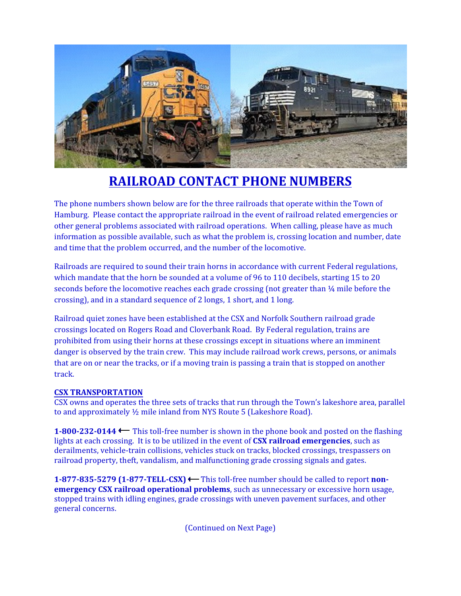

# **RAILROAD CONTACT PHONE NUMBERS**

The phone numbers shown below are for the three railroads that operate within the Town of Hamburg. Please contact the appropriate railroad in the event of railroad related emergencies or other general problems associated with railroad operations. When calling, please have as much information as possible available, such as what the problem is, crossing location and number, date and time that the problem occurred, and the number of the locomotive.

Railroads are required to sound their train horns in accordance with current Federal regulations, which mandate that the horn be sounded at a volume of 96 to 110 decibels, starting 15 to 20 seconds before the locomotive reaches each grade crossing (not greater than ¼ mile before the crossing), and in a standard sequence of 2 longs, 1 short, and 1 long.

Railroad quiet zones have been established at the CSX and Norfolk Southern railroad grade crossings located on Rogers Road and Cloverbank Road. By Federal regulation, trains are prohibited from using their horns at these crossings except in situations where an imminent danger is observed by the train crew. This may include railroad work crews, persons, or animals that are on or near the tracks, or if a moving train is passing a train that is stopped on another track.

## **CSX TRANSPORTATION**

CSX owns and operates the three sets of tracks that run through the Town's lakeshore area, parallel to and approximately ½ mile inland from NYS Route 5 (Lakeshore Road).

**1-800-232-0144** This toll-free number is shown in the phone book and posted on the flashing lights at each crossing. It is to be utilized in the event of **CSX railroad emergencies**, such as derailments, vehicle-train collisions, vehicles stuck on tracks, blocked crossings, trespassers on railroad property, theft, vandalism, and malfunctioning grade crossing signals and gates.

**1-877-835-5279 (1-877-TELL-CSX) ←** This toll-free number should be called to report non**emergency CSX railroad operational problems**, such as unnecessary or excessive horn usage, stopped trains with idling engines, grade crossings with uneven pavement surfaces, and other general concerns.

(Continued on Next Page)